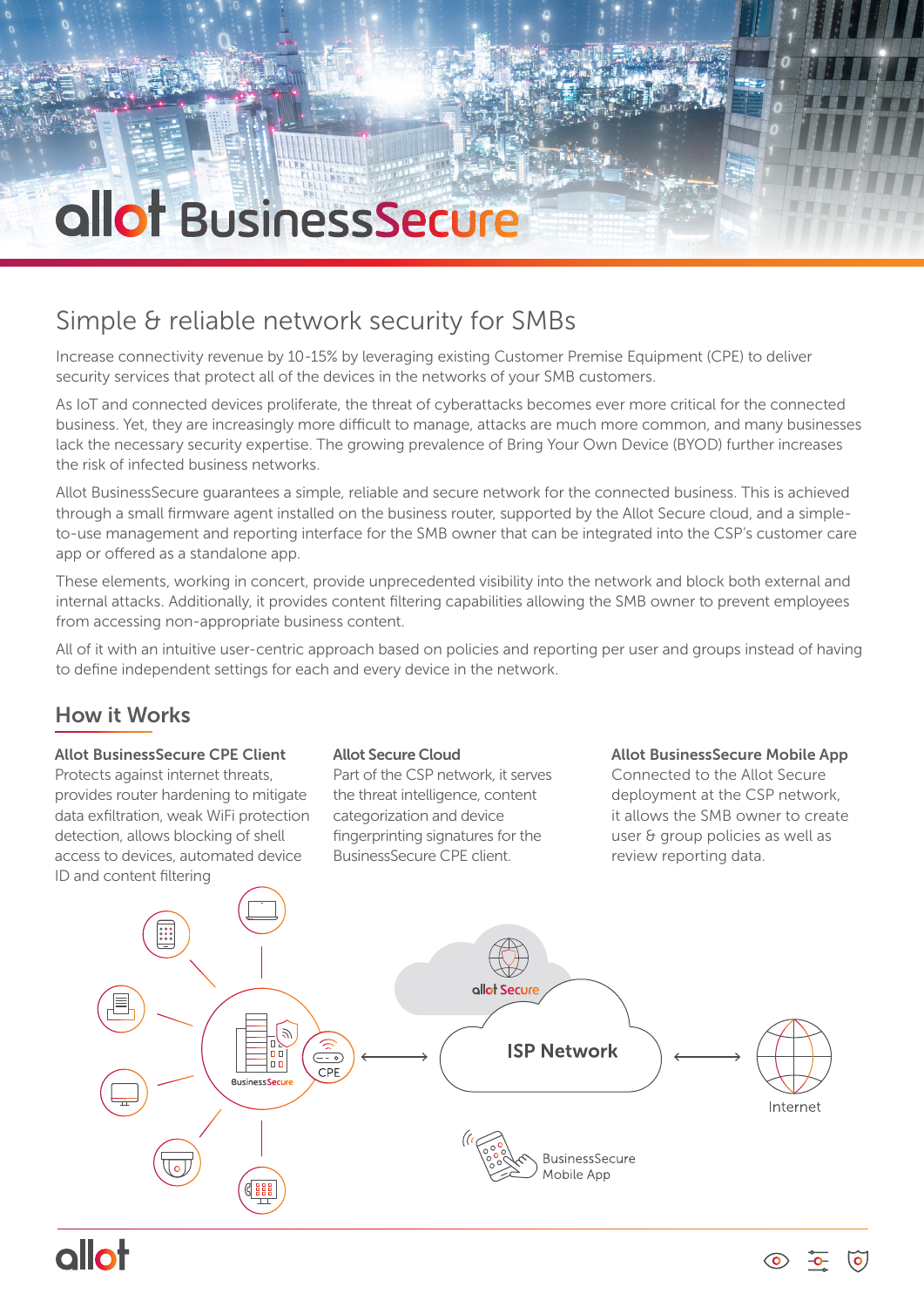# allot BusinessSecure

## Simple & reliable network security for SMBs

Increase connectivity revenue by 10-15% by leveraging existing Customer Premise Equipment (CPE) to deliver security services that protect all of the devices in the networks of your SMB customers.

As IoT and connected devices proliferate, the threat of cyberattacks becomes ever more critical for the connected business. Yet, they are increasingly more difficult to manage, attacks are much more common, and many businesses lack the necessary security expertise. The growing prevalence of Bring Your Own Device (BYOD) further increases the risk of infected business networks.

Allot BusinessSecure guarantees a simple, reliable and secure network for the connected business. This is achieved through a small firmware agent installed on the business router, supported by the Allot Secure cloud, and a simpleto-use management and reporting interface for the SMB owner that can be integrated into the CSP's customer care app or offered as a standalone app.

These elements, working in concert, provide unprecedented visibility into the network and block both external and internal attacks. Additionally, it provides content filtering capabilities allowing the SMB owner to prevent employees from accessing non-appropriate business content.

All of it with an intuitive user-centric approach based on policies and reporting per user and groups instead of having to define independent settings for each and every device in the network.

## How it Works

### Allot BusinessSecure CPE Client

Protects against internet threats, provides router hardening to mitigate data exfiltration, weak WiFi protection detection, allows blocking of shell access to devices, automated device ID and content filtering

#### Allot Secure Cloud

Part of the CSP network, it serves the threat intelligence, content categorization and device fingerprinting signatures for the BusinessSecure CPE client.

#### Allot BusinessSecure Mobile App

Connected to the Allot Secure deployment at the CSP network, it allows the SMB owner to create user & group policies as well as review reporting data.